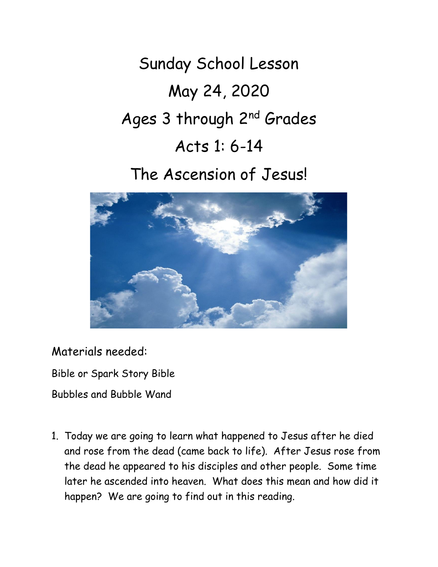Sunday School Lesson May 24, 2020 Ages 3 through 2nd Grades Acts 1: 6-14

The Ascension of Jesus!



Materials needed:

Bible or Spark Story Bible

Bubbles and Bubble Wand

1. Today we are going to learn what happened to Jesus after he died and rose from the dead (came back to life). After Jesus rose from the dead he appeared to his disciples and other people. Some time later he ascended into heaven. What does this mean and how did it happen? We are going to find out in this reading.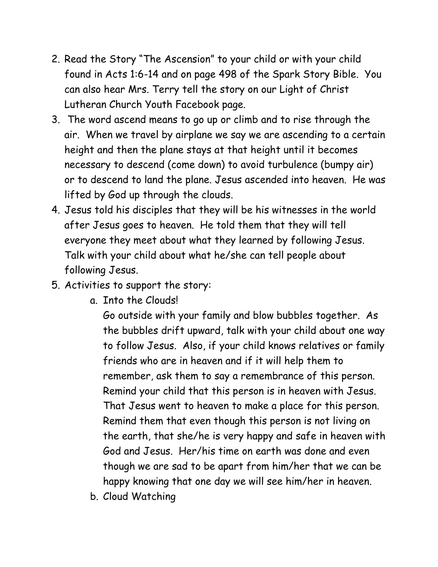- 2. Read the Story "The Ascension" to your child or with your child found in Acts 1:6-14 and on page 498 of the Spark Story Bible. You can also hear Mrs. Terry tell the story on our Light of Christ Lutheran Church Youth Facebook page.
- 3. The word ascend means to go up or climb and to rise through the air. When we travel by airplane we say we are ascending to a certain height and then the plane stays at that height until it becomes necessary to descend (come down) to avoid turbulence (bumpy air) or to descend to land the plane. Jesus ascended into heaven. He was lifted by God up through the clouds.
- 4. Jesus told his disciples that they will be his witnesses in the world after Jesus goes to heaven. He told them that they will tell everyone they meet about what they learned by following Jesus. Talk with your child about what he/she can tell people about following Jesus.
- 5. Activities to support the story:
	- a. Into the Clouds!

Go outside with your family and blow bubbles together. As the bubbles drift upward, talk with your child about one way to follow Jesus. Also, if your child knows relatives or family friends who are in heaven and if it will help them to remember, ask them to say a remembrance of this person. Remind your child that this person is in heaven with Jesus. That Jesus went to heaven to make a place for this person. Remind them that even though this person is not living on the earth, that she/he is very happy and safe in heaven with God and Jesus. Her/his time on earth was done and even though we are sad to be apart from him/her that we can be happy knowing that one day we will see him/her in heaven.

b. Cloud Watching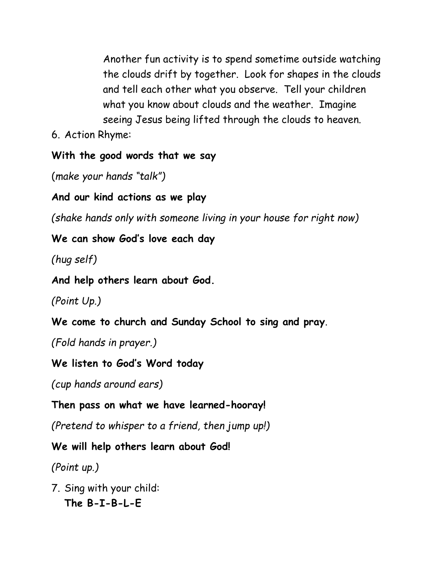Another fun activity is to spend sometime outside watching the clouds drift by together. Look for shapes in the clouds and tell each other what you observe. Tell your children what you know about clouds and the weather. Imagine seeing Jesus being lifted through the clouds to heaven.

6. Action Rhyme:

**With the good words that we say**

(*make your hands "talk")*

**And our kind actions as we play**

*(shake hands only with someone living in your house for right now)*

**We can show God's love each day**

*(hug self)*

**And help others learn about God.**

*(Point Up.)*

**We come to church and Sunday School to sing and pray**.

*(Fold hands in prayer.)*

**We listen to God's Word today**

*(cup hands around ears)*

**Then pass on what we have learned-hooray!**

*(Pretend to whisper to a friend, then jump up!)*

**We will help others learn about God!**

*(Point up.)*

7. Sing with your child: **The B-I-B-L-E**